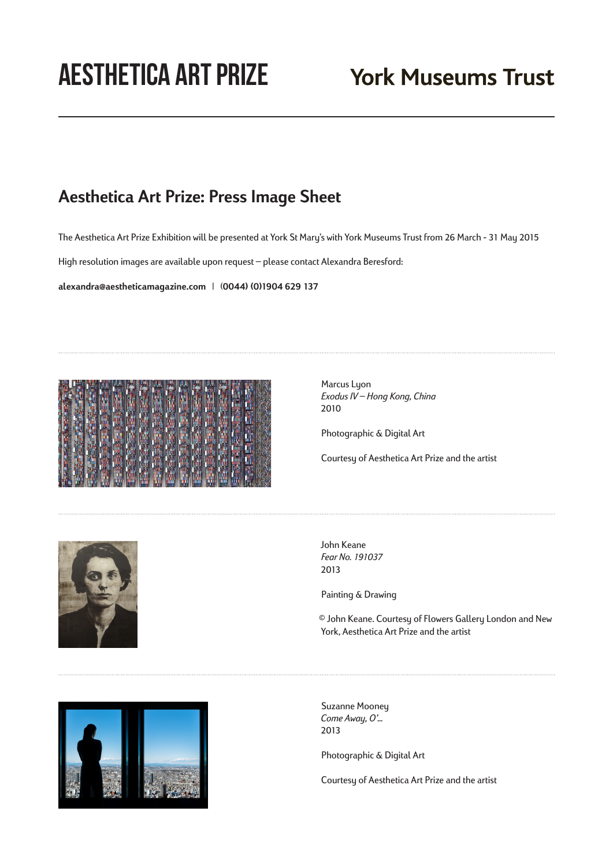## **Aesthetica Art Prize**

## **Aesthetica Art Prize: Press Image Sheet**

The Aesthetica Art Prize Exhibition will be presented at York St Mary's with York Museums Trust from 26 March - 31 May 2015

High resolution images are available upon request – please contact Alexandra Beresford:

**alexandra@aestheticamagazine.com** | (**0044) (0)1904 629 137**



Marcus Lyon *Exodus IV – Hong Kong, China* 2010

Photographic & Digital Art

Courtesy of Aesthetica Art Prize and the artist



John Keane *Fear No. 191037* 2013

Painting & Drawing

© John Keane. Courtesy of Flowers Gallery London and New York, Aesthetica Art Prize and the artist



Suzanne Mooney *Come Away, O'…* 2013

Photographic & Digital Art

Courtesy of Aesthetica Art Prize and the artist